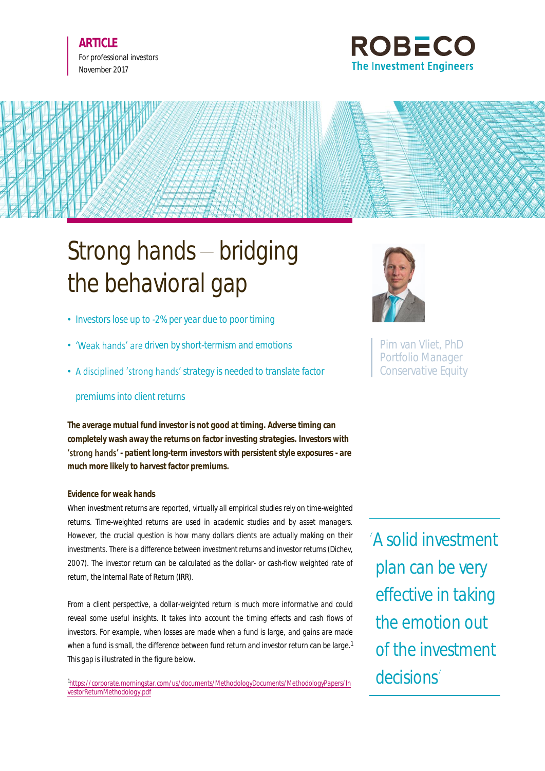



# Strong hands  $-$  bridging the behavioral gap

- Investors lose up to -2% per year due to poor timing
- 'Weak hands' are driven by short-termism and emotions
- A disciplined 'strong hands' strategy is needed to translate factor

## premiums into client returns

**The average mutual fund investor is not good at timing. Adverse timing can completely wash away the returns on factor investing strategies. Investors with 'strong hands'** - patient long-term investors with persistent style exposures - are **much more likely to harvest factor premiums.**

## **Evidence for weak hands**

When investment returns are reported, virtually all empirical studies rely on time-weighted returns. Time-weighted returns are used in academic studies and by asset managers. However, the crucial question is how many dollars clients are actually making on their investments. There is a difference between investment returns and investor returns (Dichev, 2007). The investor return can be calculated as the dollar- or cash-flow weighted rate of return, the Internal Rate of Return (IRR).

From a client perspective, a dollar-weighted return is much more informative and could reveal some useful insights. It takes into account the timing effects and cash flows of investors. For example, when losses are made when a fund is large, and gains are made when a fund is small, the difference between fund return and investor return can be large.<sup>1</sup> This gap is illustrated in the figure below.

1 [https://corporate.morningstar.com/us/documents/MethodologyDocuments/MethodologyPapers/In](https://corporate.morningstar.com/us/documents/MethodologyDocuments/MethodologyPapers/InvestorReturnMethodology.pdf) [vestorReturnMethodology.pdf](https://corporate.morningstar.com/us/documents/MethodologyDocuments/MethodologyPapers/InvestorReturnMethodology.pdf)



Pim van Vliet, PhD Portfolio Manager Conservative Equity

A solid investment plan can be very effective in taking the emotion out of the investment decisions<sup>'</sup>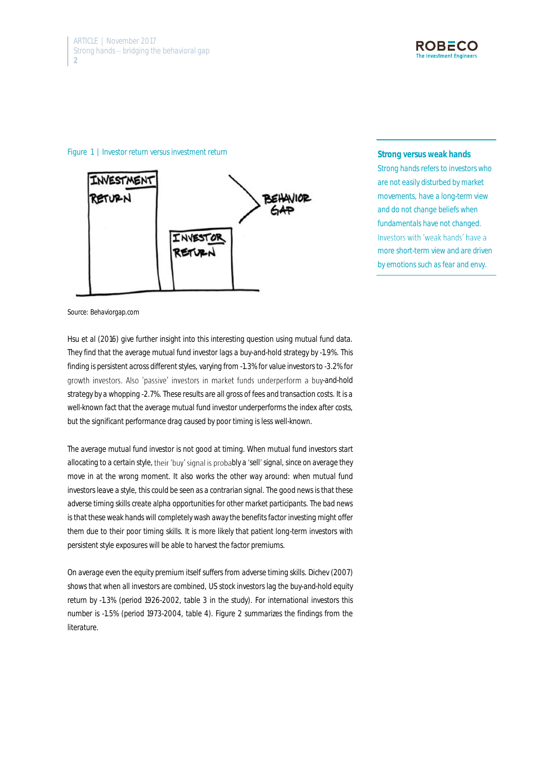

#### Figure 1 | Investor return versus investment return



**Strong versus weak hands** Strong hands refers to investors who are not easily disturbed by market movements, have a long-term view and do not change beliefs when fundamentals have not changed. Investors with 'weak hands' have a more short-term view and are driven by emotions such as fear and envy.

Source: Behaviorgap.com

Hsu et al (2016) give further insight into this interesting question using mutual fund data. They find that the average mutual fund investor lags a buy-and-hold strategy by -1.9%. This finding is persistent across different styles, varying from -1.3% for value investors to -3.2% for growth investors. Also 'passive' investors in market funds underperform a buy-and-hold strategy by a whopping -2.7%. These results are all gross of fees and transaction costs. It is a well-known fact that the average mutual fund investor underperforms the index after costs, but the significant performance drag caused by poor timing is less well-known.

The average mutual fund investor is not good at timing. When mutual fund investors start allocating to a certain style, their 'buy' signal is probably a 'sell' signal, since on average they move in at the wrong moment. It also works the other way around: when mutual fund investors leave a style, this could be seen as a contrarian signal. The good news is that these adverse timing skills create alpha opportunities for other market participants. The bad news is that these weak hands will completely wash away the benefits factor investing might offer them due to their poor timing skills. It is more likely that patient long-term investors with persistent style exposures will be able to harvest the factor premiums.

On average even the equity premium itself suffers from adverse timing skills. Dichev (2007) shows that when all investors are combined, US stock investors lag the buy-and-hold equity return by -1.3% (period 1926-2002, table 3 in the study). For international investors this number is -1.5% (period 1973-2004, table 4). Figure 2 summarizes the findings from the literature.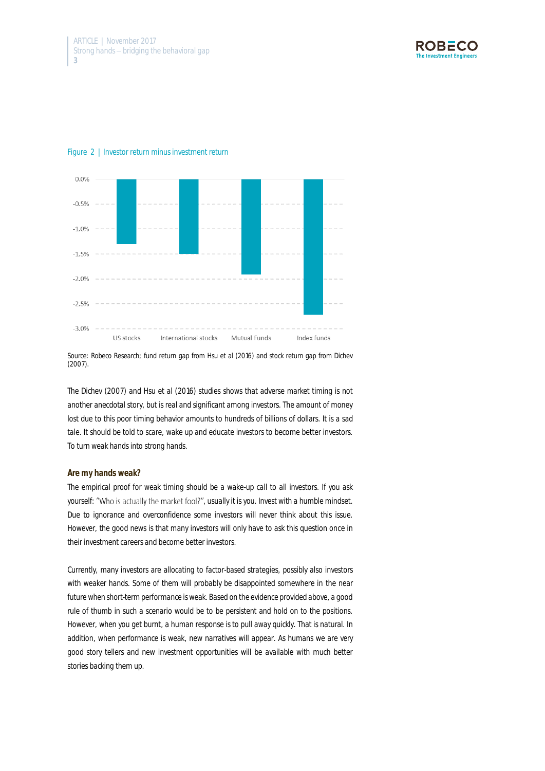



#### Figure 2 | Investor return minus investment return

Source: Robeco Research; fund return gap from Hsu et al (2016) and stock return gap from Dichev (2007).

The Dichev (2007) and Hsu et al (2016) studies shows that adverse market timing is not another anecdotal story, but is real and significant among investors. The amount of money lost due to this poor timing behavior amounts to hundreds of billions of dollars. It is a sad tale. It should be told to scare, wake up and educate investors to become better investors. To turn weak hands into strong hands.

#### **Are my hands weak?**

The empirical proof for weak timing should be a wake-up call to all investors. If you ask yourself: "Who is actually the market fool?", usually it is you. Invest with a humble mindset. Due to ignorance and overconfidence some investors will never think about this issue. However, the good news is that many investors will only have to ask this question once in their investment careers and become better investors.

Currently, many investors are allocating to factor-based strategies, possibly also investors with weaker hands. Some of them will probably be disappointed somewhere in the near future when short-term performance is weak. Based on the evidence provided above, a good rule of thumb in such a scenario would be to be persistent and hold on to the positions. However, when you get burnt, a human response is to pull away quickly. That is natural. In addition, when performance is weak, new narratives will appear. As humans we are very good story tellers and new investment opportunities will be available with much better stories backing them up.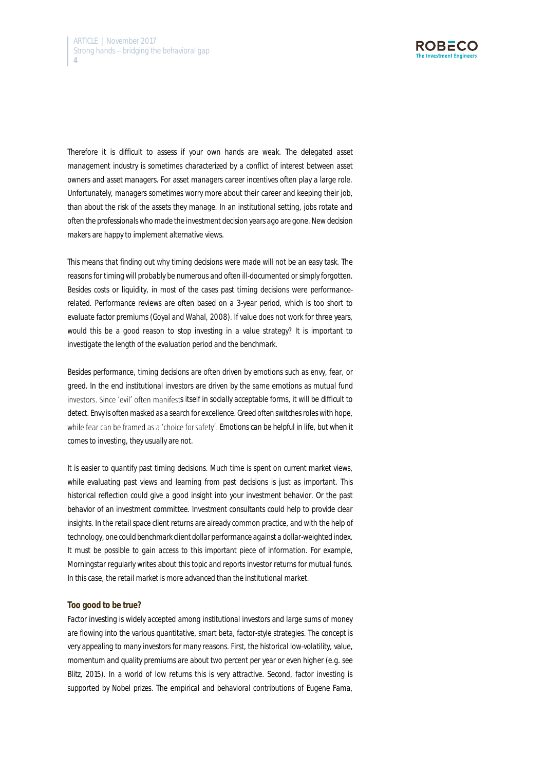

Therefore it is difficult to assess if your own hands are weak. The delegated asset management industry is sometimes characterized by a conflict of interest between asset owners and asset managers. For asset managers career incentives often play a large role. Unfortunately, managers sometimes worry more about their career and keeping their job, than about the risk of the assets they manage. In an institutional setting, jobs rotate and often the professionals who made the investment decision years ago are gone. New decision makers are happy to implement alternative views.

This means that finding out why timing decisions were made will not be an easy task. The reasons for timing will probably be numerous and often ill-documented or simply forgotten. Besides costs or liquidity, in most of the cases past timing decisions were performancerelated. Performance reviews are often based on a 3-year period, which is too short to evaluate factor premiums (Goyal and Wahal, 2008). If value does not work for three years, would this be a good reason to stop investing in a value strategy? It is important to investigate the length of the evaluation period and the benchmark.

Besides performance, timing decisions are often driven by emotions such as envy, fear, or greed. In the end institutional investors are driven by the same emotions as mutual fund investors. Since 'evil' often manifests itself in socially acceptable forms, it will be difficult to detect. Envy is often masked as a search for excellence. Greed often switches roles with hope, while fear can be framed as a 'choice for safety'. Emotions can be helpful in life, but when it comes to investing, they usually are not.

It is easier to quantify past timing decisions. Much time is spent on current market views, while evaluating past views and learning from past decisions is just as important. This historical reflection could give a good insight into your investment behavior. Or the past behavior of an investment committee. Investment consultants could help to provide clear insights. In the retail space client returns are already common practice, and with the help of technology, one could benchmark client dollar performance against a dollar-weighted index. It must be possible to gain access to this important piece of information. For example, Morningstar regularly writes about this topic and reports investor returns for mutual funds. In this case, the retail market is more advanced than the institutional market.

#### **Too good to be true?**

Factor investing is widely accepted among institutional investors and large sums of money are flowing into the various quantitative, smart beta, factor-style strategies. The concept is very appealing to many investors for many reasons. First, the historical low-volatility, value, momentum and quality premiums are about two percent per year or even higher (e.g. see Blitz, 2015). In a world of low returns this is very attractive. Second, factor investing is supported by Nobel prizes. The empirical and behavioral contributions of Eugene Fama,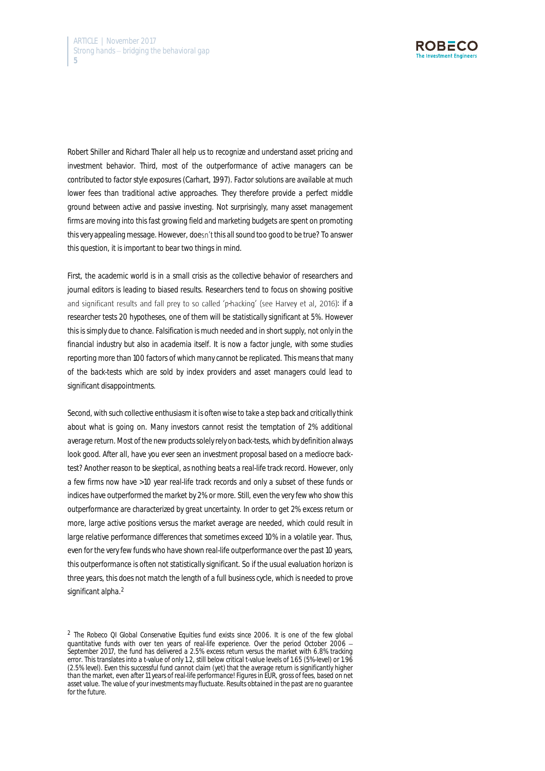

Robert Shiller and Richard Thaler all help us to recognize and understand asset pricing and investment behavior. Third, most of the outperformance of active managers can be contributed to factor style exposures (Carhart, 1997). Factor solutions are available at much lower fees than traditional active approaches. They therefore provide a perfect middle ground between active and passive investing. Not surprisingly, many asset management firms are moving into this fast growing field and marketing budgets are spent on promoting this very appealing message. However, doesn't this all sound too good to be true? To answer this question, it is important to bear two things in mind.

First, the academic world is in a small crisis as the collective behavior of researchers and journal editors is leading to biased results. Researchers tend to focus on showing positive and significant results and fall prey to so called 'p-hacking' (see Harvey et al, 2016): if a researcher tests 20 hypotheses, one of them will be statistically significant at 5%. However this is simply due to chance. Falsification is much needed and in short supply, not only in the financial industry but also in academia itself. It is now a factor jungle, with some studies reporting more than 100 factors of which many cannot be replicated. This means that many of the back-tests which are sold by index providers and asset managers could lead to significant disappointments.

Second, with such collective enthusiasm it is often wise to take a step back and critically think about what is going on. Many investors cannot resist the temptation of 2% additional average return. Most of the new products solely rely on back-tests, which by definition always look good. After all, have you ever seen an investment proposal based on a mediocre backtest? Another reason to be skeptical, as nothing beats a real-life track record. However, only a few firms now have >10 year real-life track records and only a subset of these funds or indices have outperformed the market by 2% or more. Still, even the very few who show this outperformance are characterized by great uncertainty. In order to get 2% excess return or more, large active positions versus the market average are needed, which could result in large relative performance differences that sometimes exceed 10% in a volatile year. Thus, even for the very few funds who have shown real-life outperformance over the past 10 years, this outperformance is often not statistically significant. So if the usual evaluation horizon is three years, this does not match the length of a full business cycle, which is needed to prove significant alpha.<sup>2</sup>

<sup>&</sup>lt;sup>2</sup> The Robeco QI Global Conservative Equities fund exists since 2006. It is one of the few global quantitative funds with over ten years of real-life experience. Over the period October 2006 September 2017, the fund has delivered a 2.5% excess return versus the market with 6.8% tracking error. This translates into a t-value of only 1.2, still below critical t-value levels of 1.65 (5%-level) or 1.96 (2.5% level). Even this successful fund cannot claim (yet) that the average return is significantly higher than the market, even after 11 years of real-life performance! Figures in EUR, gross of fees, based on net asset value. The value of your investments may fluctuate. Results obtained in the past are no guarantee for the future.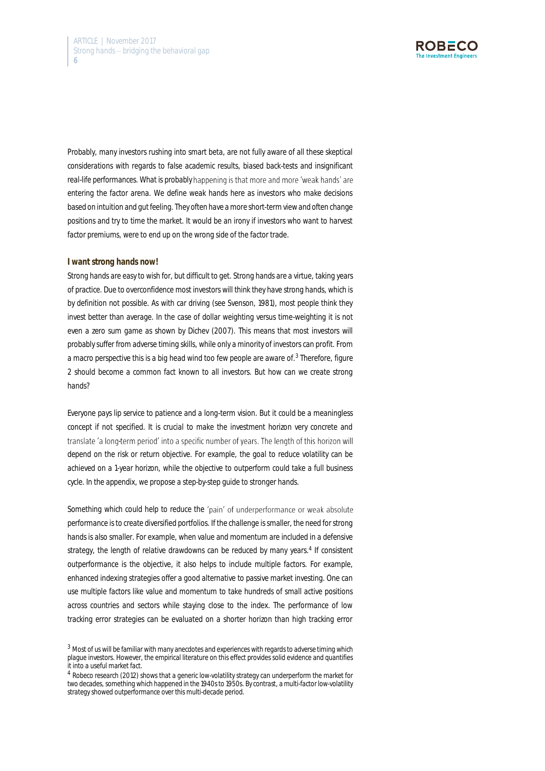

Probably, many investors rushing into smart beta, are not fully aware of all these skeptical considerations with regards to false academic results, biased back-tests and insignificant real-life performances. What is probably happening is that more and more 'weak hands' are entering the factor arena. We define weak hands here as investors who make decisions based on intuition and gut feeling. They often have a more short-term view and often change positions and try to time the market. It would be an irony if investors who want to harvest factor premiums, were to end up on the wrong side of the factor trade.

#### **I want strong hands now!**

Strong hands are easy to wish for, but difficult to get. Strong hands are a virtue, taking years of practice. Due to overconfidence most investors will think they have strong hands, which is by definition not possible. As with car driving (see Svenson, 1981), most people think they invest better than average. In the case of dollar weighting versus time-weighting it is not even a zero sum game as shown by Dichev (2007). This means that most investors will probably suffer from adverse timing skills, while only a minority of investors can profit. From a macro perspective this is a big head wind too few people are aware of.<sup>3</sup> Therefore, figure 2 should become a common fact known to all investors. But how can we create strong hands?

Everyone pays lip service to patience and a long-term vision. But it could be a meaningless concept if not specified. It is crucial to make the investment horizon very concrete and translate 'a long-term period' into a specific number of years. The length of this horizon will depend on the risk or return objective. For example, the goal to reduce volatility can be achieved on a 1-year horizon, while the objective to outperform could take a full business cycle. In the appendix, we propose a step-by-step guide to stronger hands.

Something which could help to reduce the 'pain' of underperformance or weak absolute performance is to create diversified portfolios. If the challenge is smaller, the need for strong hands is also smaller. For example, when value and momentum are included in a defensive strategy, the length of relative drawdowns can be reduced by many years.<sup>4</sup> If consistent outperformance is the objective, it also helps to include multiple factors. For example, enhanced indexing strategies offer a good alternative to passive market investing. One can use multiple factors like value and momentum to take hundreds of small active positions across countries and sectors while staying close to the index. The performance of low tracking error strategies can be evaluated on a shorter horizon than high tracking error

<sup>3</sup> Most of us will be familiar with many anecdotes and experiences with regards to adverse timing which plague investors. However, the empirical literature on this effect provides solid evidence and quantifies it into a useful market fact.

<sup>4</sup> Robeco research (2012) shows that a generic low-volatility strategy can underperform the market for two decades, something which happened in the 1940s to 1950s. By contrast, a multi-factor low-volatility strategy showed outperformance over this multi-decade period.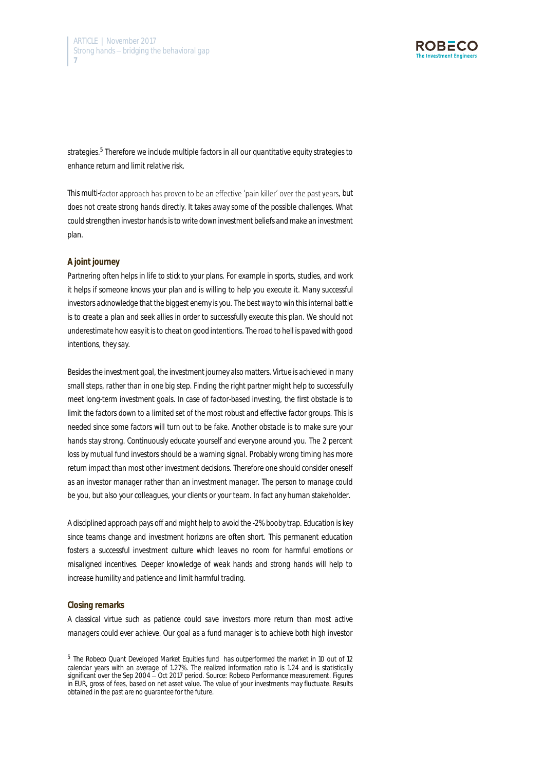

strategies.<sup>5</sup> Therefore we include multiple factors in all our quantitative equity strategies to enhance return and limit relative risk.

This multi-factor approach has proven to be an effective 'pain killer' over the past years, but does not create strong hands directly. It takes away some of the possible challenges. What could strengthen investor hands is to write down investment beliefs and make an investment plan.

### **A joint journey**

Partnering often helps in life to stick to your plans. For example in sports, studies, and work it helps if someone knows your plan and is willing to help you execute it. Many successful investors acknowledge that the biggest enemy is you. The best way to win this internal battle is to create a plan and seek allies in order to successfully execute this plan. We should not underestimate how easy it is to cheat on good intentions. The road to hell is paved with good intentions, they say.

Besides the investment goal, the investment journey also matters. Virtue is achieved in many small steps, rather than in one big step. Finding the right partner might help to successfully meet long-term investment goals. In case of factor-based investing, the first obstacle is to limit the factors down to a limited set of the most robust and effective factor groups. This is needed since some factors will turn out to be fake. Another obstacle is to make sure your hands stay strong. Continuously educate yourself and everyone around you. The 2 percent loss by mutual fund investors should be a warning signal. Probably wrong timing has more return impact than most other investment decisions. Therefore one should consider oneself as an investor manager rather than an investment manager. The person to manage could be you, but also your colleagues, your clients or your team. In fact any human stakeholder.

A disciplined approach pays off and might help to avoid the -2% booby trap. Education is key since teams change and investment horizons are often short. This permanent education fosters a successful investment culture which leaves no room for harmful emotions or misaligned incentives. Deeper knowledge of weak hands and strong hands will help to increase humility and patience and limit harmful trading.

#### **Closing remarks**

A classical virtue such as patience could save investors more return than most active managers could ever achieve. Our goal as a fund manager is to achieve both high investor

<sup>&</sup>lt;sup>5</sup> The Robeco Quant Developed Market Equities fund has outperformed the market in 10 out of 12 calendar years with an average of 1.27%. The realized information ratio is 1.24 and is statistically significant over the Sep 2004 - Oct 2017 period. Source: Robeco Performance measurement. Figures in EUR, gross of fees, based on net asset value. The value of your investments may fluctuate. Results obtained in the past are no guarantee for the future.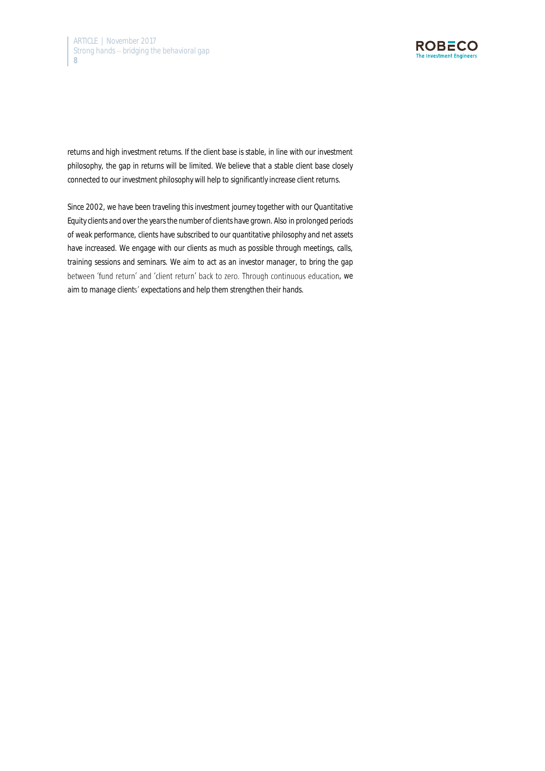

returns and high investment returns. If the client base is stable, in line with our investment philosophy, the gap in returns will be limited. We believe that a stable client base closely connected to our investment philosophy will help to significantly increase client returns.

Since 2002, we have been traveling this investment journey together with our Quantitative Equity clients and over the years the number of clients have grown. Also in prolonged periods of weak performance, clients have subscribed to our quantitative philosophy and net assets have increased. We engage with our clients as much as possible through meetings, calls, training sessions and seminars. We aim to act as an investor manager, to bring the gap between 'fund return' and 'client return' back to zero. Through continuous education, we aim to manage clients' expectations and help them strengthen their hands.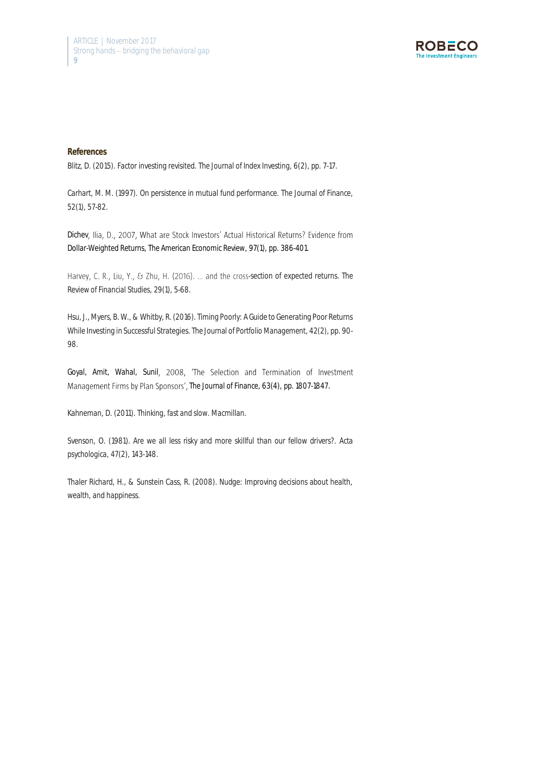

#### **References**

Blitz, D. (2015). Factor investing revisited. *The Journal of Index Investing*, 6(2), pp. 7-17.

Carhart, M. M. (1997). On persistence in mutual fund performance. *The Journal of Finance*, *52*(1), 57-82.

Dichev, Ilia, D., 2007, What are Stock Investors' Actual Historical Returns? Evidence from Dollar-Weighted Returns, *The American Economic Review*, 97(1), pp. 386-401.

Harvey, C. R., Liu, Y., & Zhu, H. (2016). ... and the cross-section of expected returns. *The Review of Financial Studies*, *29*(1), 5-68.

Hsu, J., Myers, B. W., & Whitby, R. (2016). Timing Poorly: A Guide to Generating Poor Returns While Investing in Successful Strategies. *The Journal of Portfolio Management*, 42(2), pp. 90- 98.

Goyal, Amit, Wahal, Sunil, 2008, 'The Selection and Termination of Investment *The Journal of Finance*, 63(4), pp. 1807-1847.

Kahneman, D. (2011). *Thinking, fast and slow*. Macmillan.

Svenson, O. (1981). Are we all less risky and more skillful than our fellow drivers?. *Acta psychologica*, *47*(2), 143-148.

Thaler Richard, H., & Sunstein Cass, R. (2008). Nudge: Improving decisions about health, wealth, and happiness.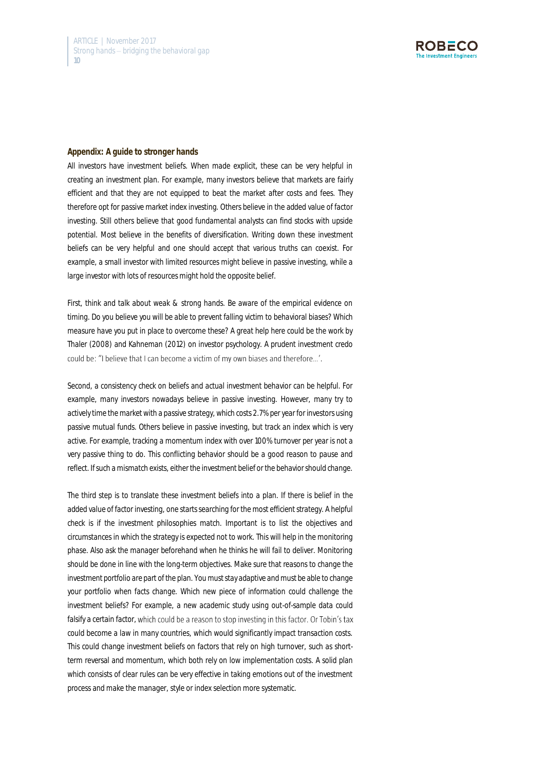

#### **Appendix: A guide to stronger hands**

All investors have investment beliefs. When made explicit, these can be very helpful in creating an investment plan. For example, many investors believe that markets are fairly efficient and that they are not equipped to beat the market after costs and fees. They therefore opt for passive market index investing. Others believe in the added value of factor investing. Still others believe that good fundamental analysts can find stocks with upside potential. Most believe in the benefits of diversification. Writing down these investment beliefs can be very helpful and one should accept that various truths can coexist. For example, a small investor with limited resources might believe in passive investing, while a large investor with lots of resources might hold the opposite belief.

First, think and talk about weak & strong hands. Be aware of the empirical evidence on timing. Do you believe you will be able to prevent falling victim to behavioral biases? Which measure have you put in place to overcome these? A great help here could be the work by Thaler (2008) and Kahneman (2012) on investor psychology. A prudent investment credo could be: "I believe that I can become a victim of my own biases and therefore...'.

Second, a consistency check on beliefs and actual investment behavior can be helpful. For example, many investors nowadays believe in passive investing. However, many try to actively time the market with a passive strategy, which costs 2.7% per year for investors using passive mutual funds. Others believe in passive investing, but track an index which is very active. For example, tracking a momentum index with over 100% turnover per year is not a very passive thing to do. This conflicting behavior should be a good reason to pause and reflect. If such a mismatch exists, either the investment belief or the behavior should change.

The third step is to translate these investment beliefs into a plan. If there is belief in the added value of factor investing, one starts searching for the most efficient strategy. A helpful check is if the investment philosophies match. Important is to list the objectives and circumstances in which the strategy is expected not to work. This will help in the monitoring phase. Also ask the manager beforehand when he thinks he will fail to deliver. Monitoring should be done in line with the long-term objectives. Make sure that reasons to change the investment portfolio are part of the plan. You must stay adaptive and must be able to change your portfolio when facts change. Which new piece of information could challenge the investment beliefs? For example, a new academic study using out-of-sample data could falsify a certain factor, which could be a reason to stop investing in this factor. Or Tobin's tax could become a law in many countries, which would significantly impact transaction costs. This could change investment beliefs on factors that rely on high turnover, such as shortterm reversal and momentum, which both rely on low implementation costs. A solid plan which consists of clear rules can be very effective in taking emotions out of the investment process and make the manager, style or index selection more systematic.